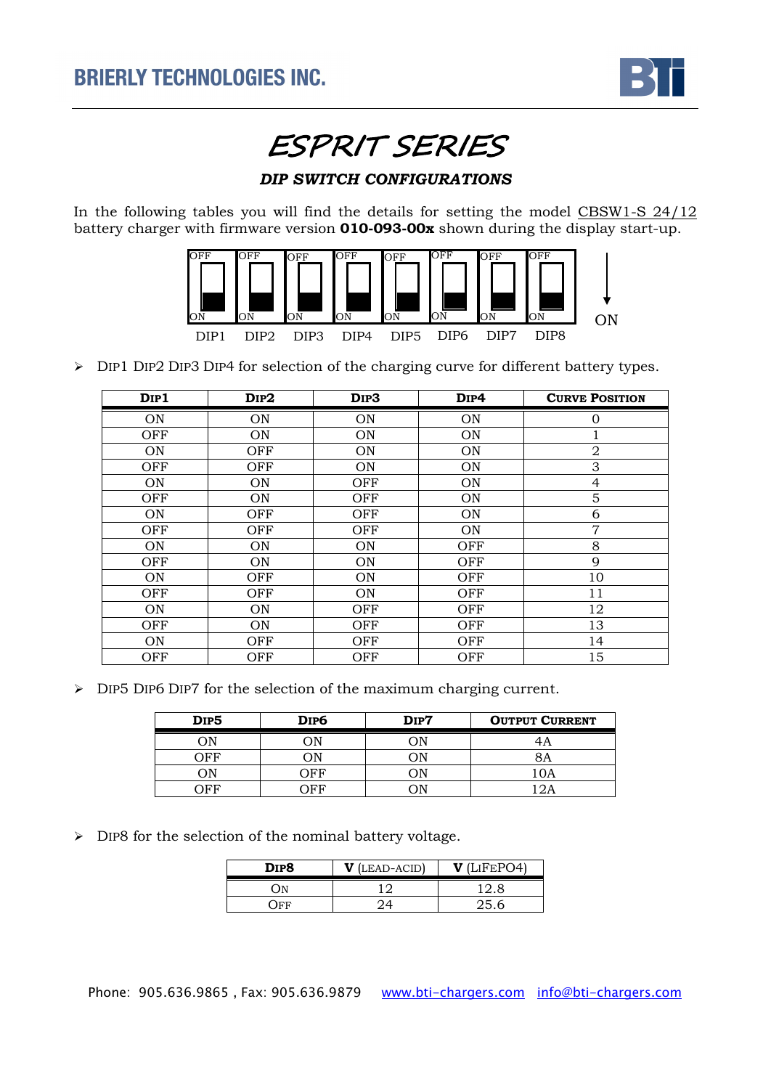

ESPRIT SERIES

## *DIP SWITCH CONFIGURATIONS*

In the following tables you will find the details for setting the model CBSW1-S 24/12 battery charger with firmware version **010-093-00x** shown during the display start-up.



> DIP1 DIP2 DIP3 DIP4 for selection of the charging curve for different battery types.

| D <sub>IP1</sub> | $_{\rm DIP2}$ | D <sub>IP3</sub> | D <sub>IP4</sub> | <b>CURVE POSITION</b> |
|------------------|---------------|------------------|------------------|-----------------------|
| ON               | ON            | <b>ON</b>        | ON               | $\Omega$              |
| OFF              | ON            | <b>ON</b>        | ON               |                       |
| <b>ON</b>        | OFF           | <b>ON</b>        | ON               | $\overline{2}$        |
| OFF              | OFF           | <b>ON</b>        | ON               | 3                     |
| ON               | ON            | OFF              | ON               | $\overline{4}$        |
| <b>OFF</b>       | ON            | <b>OFF</b>       | ON               | 5                     |
| <b>ON</b>        | OFF           | OFF              | ON               | 6                     |
| OFF              | OFF           | OFF              | ON               | $\overline{7}$        |
| ON               | ON            | <b>ON</b>        | OFF              | 8                     |
| OFF              | ON            | <b>ON</b>        | OFF              | 9                     |
| <b>ON</b>        | OFF           | <b>ON</b>        | OFF              | 10                    |
| OFF              | OFF           | <b>ON</b>        | OFF              | 11                    |
| ON               | ON            | OFF              | OFF              | 12                    |
| OFF              | ON            | <b>OFF</b>       | OFF              | 13                    |
| <b>ON</b>        | OFF           | OFF              | OFF              | 14                    |
| OFF              | OFF           | OFF              | OFF              | 15                    |

> DIP5 DIP6 DIP7 for the selection of the maximum charging current.

| DIP <sub>5</sub> | DIP6 | DIP7 | <b>OUTPUT CURRENT</b> |
|------------------|------|------|-----------------------|
| )Þ               | )N   |      |                       |
| ) E F            | λN   |      | ЗA                    |
| )N               | ገբբ  | ١N   | JA.                   |
| ንድድ              |      |      |                       |

> DIP8 for the selection of the nominal battery voltage.

| DIP8                  | $V$ (LEAD-ACID) | (LIFEPO4) |
|-----------------------|-----------------|-----------|
| λN                    |                 | 12.8      |
| $\overline{\text{F}}$ |                 | 25.6      |